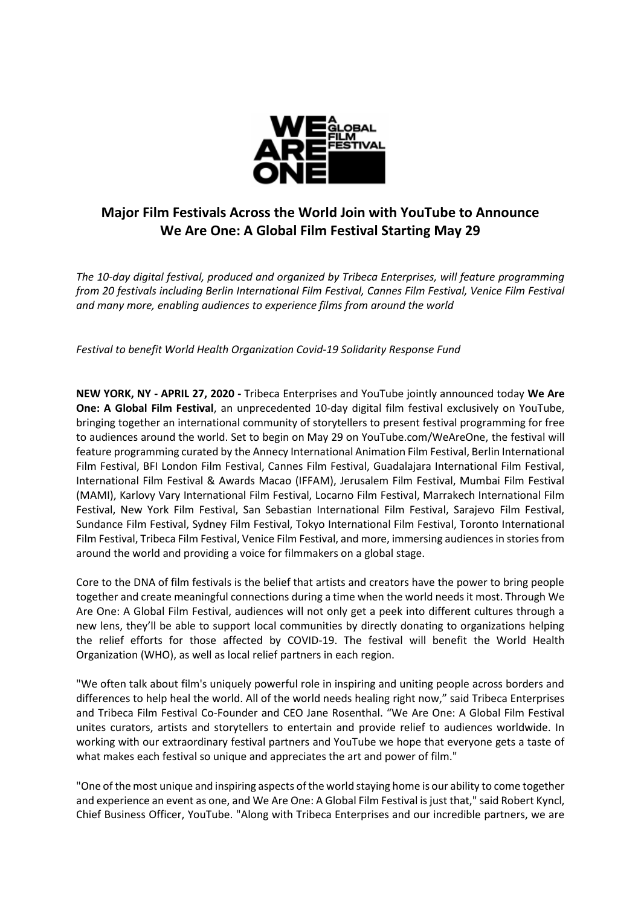

## **Major Film Festivals Across the World Join with YouTube to Announce We Are One: A Global Film Festival Starting May 29**

*The 10-day digital festival, produced and organized by Tribeca Enterprises, will feature programming from 20 festivals including Berlin International Film Festival, Cannes Film Festival, Venice Film Festival and many more, enabling audiences to experience films from around the world*

*Festival to benefit World Health Organization Covid-19 Solidarity Response Fund*

**NEW YORK, NY - APRIL 27, 2020 -** Tribeca Enterprises and YouTube jointly announced today **We Are One: A Global Film Festival**, an unprecedented 10-day digital film festival exclusively on YouTube, bringing together an international community of storytellers to present festival programming for free to audiences around the world. Set to begin on May 29 on YouTube.com/WeAreOne, the festival will feature programming curated by the Annecy International Animation Film Festival, Berlin International Film Festival, BFI London Film Festival, Cannes Film Festival, Guadalajara International Film Festival, International Film Festival & Awards Macao (IFFAM), Jerusalem Film Festival, Mumbai Film Festival (MAMI), Karlovy Vary International Film Festival, Locarno Film Festival, Marrakech International Film Festival, New York Film Festival, San Sebastian International Film Festival, Sarajevo Film Festival, Sundance Film Festival, Sydney Film Festival, Tokyo International Film Festival, Toronto International Film Festival, Tribeca Film Festival, Venice Film Festival, and more, immersing audiences in stories from around the world and providing a voice for filmmakers on a global stage.

Core to the DNA of film festivals is the belief that artists and creators have the power to bring people together and create meaningful connections during a time when the world needs it most. Through We Are One: A Global Film Festival, audiences will not only get a peek into different cultures through a new lens, they'll be able to support local communities by directly donating to organizations helping the relief efforts for those affected by COVID-19. The festival will benefit the World Health Organization (WHO), as well as local relief partners in each region.

"We often talk about film's uniquely powerful role in inspiring and uniting people across borders and differences to help heal the world. All of the world needs healing right now," said Tribeca Enterprises and Tribeca Film Festival Co-Founder and CEO Jane Rosenthal. "We Are One: A Global Film Festival unites curators, artists and storytellers to entertain and provide relief to audiences worldwide. In working with our extraordinary festival partners and YouTube we hope that everyone gets a taste of what makes each festival so unique and appreciates the art and power of film."

"One of the most unique and inspiring aspects of the world staying home is our ability to come together and experience an event as one, and We Are One: A Global Film Festival is just that," said Robert Kyncl, Chief Business Officer, YouTube. "Along with Tribeca Enterprises and our incredible partners, we are